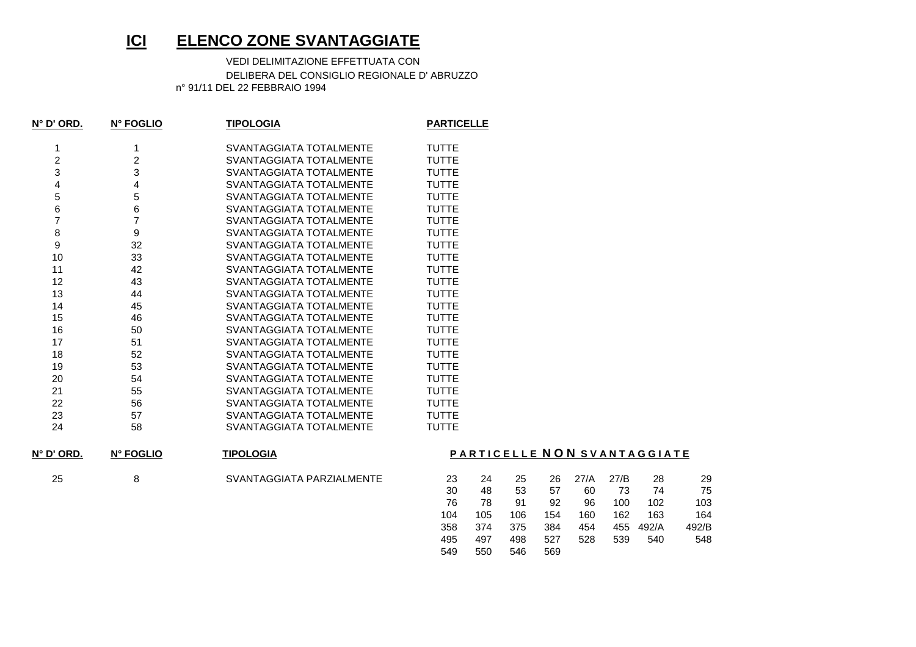## **ICIELENCO ZONE SVANTAGGIATE**

 VEDI DELIMITAZIONE EFFETTUATA CON DELIBERA DEL CONSIGLIO REGIONALE D' ABRUZZOn° 91/11 DEL 22 FEBBRAIO 1994

| $N^{\circ}$ D' ORD. | N° FOGLIO        | <b>TIPOLOGIA</b>         | <b>PARTICELLE</b> |
|---------------------|------------------|--------------------------|-------------------|
| 1                   | 1                | SVANTAGGIATA TOTALMENTE  | <b>TUTTE</b>      |
| $\overline{2}$      | $\overline{2}$   | SVANTAGGIATA TOTALMENTE  | <b>TUTTE</b>      |
| 3                   | 3                | SVANTAGGIATA TOTALMENTE  | <b>TUTTE</b>      |
| 4                   | 4                | SVANTAGGIATA TOTALMENTE  | <b>TUTTE</b>      |
| 5                   | 5                | SVANTAGGIATA TOTALMENTE  | <b>TUTTE</b>      |
| 6                   | 6                | SVANTAGGIATA TOTALMENTE  | <b>TUTTE</b>      |
| 7                   | $\overline{7}$   | SVANTAGGIATA TOTAL MENTE | <b>TUTTE</b>      |
| 8                   | $\boldsymbol{9}$ | SVANTAGGIATA TOTALMENTE  | <b>TUTTE</b>      |
| 9                   | 32               | SVANTAGGIATA TOTALMENTE  | <b>TUTTE</b>      |
| 10                  | 33               | SVANTAGGIATA TOTALMENTE  | <b>TUTTE</b>      |
| 11                  | 42               | SVANTAGGIATA TOTALMENTE  | <b>TUTTE</b>      |
| 12                  | 43               | SVANTAGGIATA TOTALMENTE  | TUTTE             |
| 13                  | 44               | SVANTAGGIATA TOTALMENTE  | <b>TUTTE</b>      |
| 14                  | 45               | SVANTAGGIATA TOTALMENTE  | <b>TUTTE</b>      |
| 15                  | 46               | SVANTAGGIATA TOTALMENTE  | <b>TUTTE</b>      |
| 16                  | 50               | SVANTAGGIATA TOTALMENTE  | <b>TUTTE</b>      |
| 17                  | 51               | SVANTAGGIATA TOTAL MENTE | <b>TUTTE</b>      |
| 18                  | 52               | SVANTAGGIATA TOTALMENTE  | <b>TUTTE</b>      |
| 19                  | 53               | SVANTAGGIATA TOTALMENTE  | <b>TUTTE</b>      |
| 20                  | 54               | SVANTAGGIATA TOTALMENTE  | <b>TUTTE</b>      |
| 21                  | 55               | SVANTAGGIATA TOTALMENTE  | <b>TUTTE</b>      |
| 22                  | 56               | SVANTAGGIATA TOTALMENTE  | <b>TUTTE</b>      |
| 23                  | 57               | SVANTAGGIATA TOTALMENTE  | <b>TUTTE</b>      |
| 24                  | 58               | SVANTAGGIATA TOTALMENTE  | <b>TUTTE</b>      |
|                     |                  |                          |                   |

**N° D' ORD.N° FOGLIO**

25 8 8 SVANTAGGIATA PARZIALMENTE

**TIPOLOGIA**

## **P A R T I C E L L E N O N S V A N T A G G I A T E**

| 23  | 24  | 25  | 26  | 27/A | 27/B | 28    | 29    |
|-----|-----|-----|-----|------|------|-------|-------|
| 30  | 48  | 53  | 57  | 60   | 73   | 74    | 75    |
| 76  | 78  | 91  | 92  | 96   | 100  | 102   | 103   |
| 104 | 105 | 106 | 154 | 160  | 162  | 163   | 164   |
| 358 | 374 | 375 | 384 | 454  | 455  | 492/A | 492/B |
| 495 | 497 | 498 | 527 | 528  | 539  | 540   | 548   |
| 549 | 550 | 546 | 569 |      |      |       |       |
|     |     |     |     |      |      |       |       |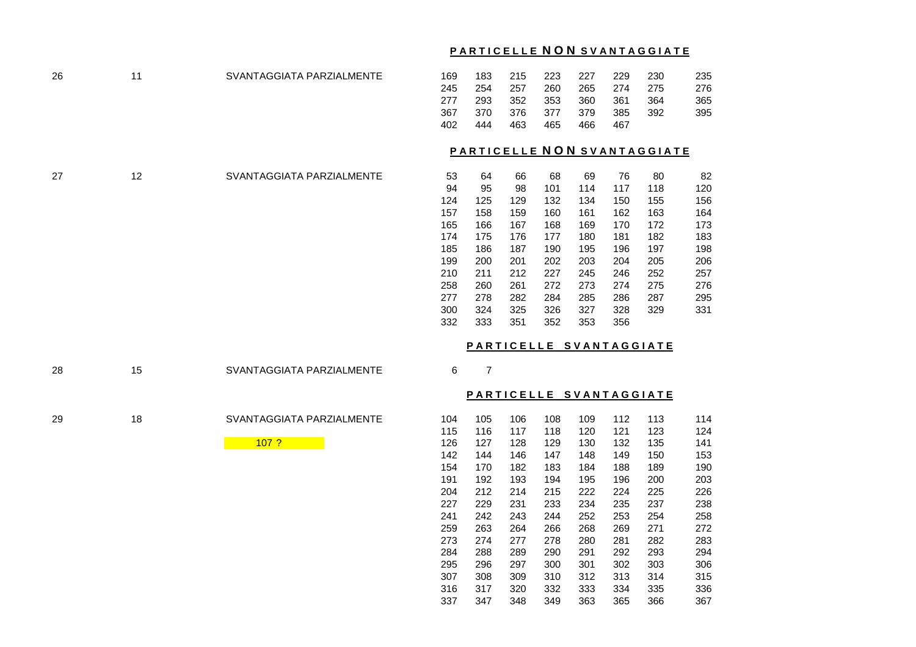## **P A R T I C E L L E N O N S V A N T A G G I A T E**

170 182 183 184 188 189 190

192 193 194 195 196 200 203

212 214 215 222 224 225 226

229 231 233 234 235 237 238

242 243 244 252 253 254 258

263 264 266 268 269 271 272

274 277 278 280 281 282 283

288 289 290 291 292 293 294

296 297 300 301 302 303 306

308 309 310 312 313 314 315

317 320 332 333 334 335 336

347 348 349 363 365 366 367

| 26 | 11 | SVANTAGGIATA PARZIALMENTE | 169 | 183            | 215 | 223 | 227 | 229 | 230                         | 235 |
|----|----|---------------------------|-----|----------------|-----|-----|-----|-----|-----------------------------|-----|
|    |    |                           | 245 | 254            | 257 | 260 | 265 | 274 | 275                         | 276 |
|    |    |                           | 277 | 293            | 352 | 353 | 360 | 361 | 364                         | 365 |
|    |    |                           | 367 | 370            | 376 | 377 | 379 | 385 | 392                         | 395 |
|    |    |                           | 402 | 444            | 463 | 465 | 466 | 467 |                             |     |
|    |    |                           |     |                |     |     |     |     |                             |     |
|    |    |                           |     |                |     |     |     |     | PARTICELLE NON SVANTAGGIATE |     |
|    |    |                           |     |                |     |     |     |     |                             |     |
| 27 | 12 | SVANTAGGIATA PARZIALMENTE | 53  | 64             | 66  | 68  | 69  | 76  | 80                          | 82  |
|    |    |                           | 94  | 95             | 98  | 101 | 114 | 117 | 118                         | 120 |
|    |    |                           | 124 | 125            | 129 | 132 | 134 | 150 | 155                         | 156 |
|    |    |                           | 157 | 158            | 159 | 160 | 161 | 162 | 163                         | 164 |
|    |    |                           | 165 | 166            | 167 | 168 | 169 | 170 | 172                         | 173 |
|    |    |                           | 174 | 175            | 176 | 177 | 180 | 181 | 182                         | 183 |
|    |    |                           | 185 | 186            | 187 | 190 | 195 | 196 | 197                         | 198 |
|    |    |                           | 199 | 200            | 201 | 202 | 203 | 204 | 205                         | 206 |
|    |    |                           | 210 | 211            | 212 | 227 | 245 | 246 | 252                         | 257 |
|    |    |                           | 258 | 260            | 261 | 272 | 273 | 274 | 275                         | 276 |
|    |    |                           | 277 | 278            | 282 | 284 | 285 | 286 | 287                         | 295 |
|    |    |                           | 300 | 324            | 325 | 326 | 327 | 328 | 329                         | 331 |
|    |    |                           | 332 | 333            | 351 | 352 | 353 | 356 |                             |     |
|    |    |                           |     |                |     |     |     |     | PARTICELLE SVANTAGGIATE     |     |
|    |    |                           |     |                |     |     |     |     |                             |     |
| 28 | 15 | SVANTAGGIATA PARZIALMENTE | 6   | $\overline{7}$ |     |     |     |     |                             |     |
|    |    |                           |     |                |     |     |     |     | PARTICELLE SVANTAGGIATE     |     |
|    |    |                           |     |                |     |     |     |     |                             |     |
| 29 | 18 | SVANTAGGIATA PARZIALMENTE | 104 | 105            | 106 | 108 | 109 | 112 | 113                         | 114 |
|    |    |                           | 115 | 116            | 117 | 118 | 120 | 121 | 123                         | 124 |
|    |    | 107 <sub>2</sub>          | 126 | 127            | 128 | 129 | 130 | 132 | 135                         | 141 |
|    |    |                           | 142 | 144            | 146 | 147 | 148 | 149 | 150                         | 153 |